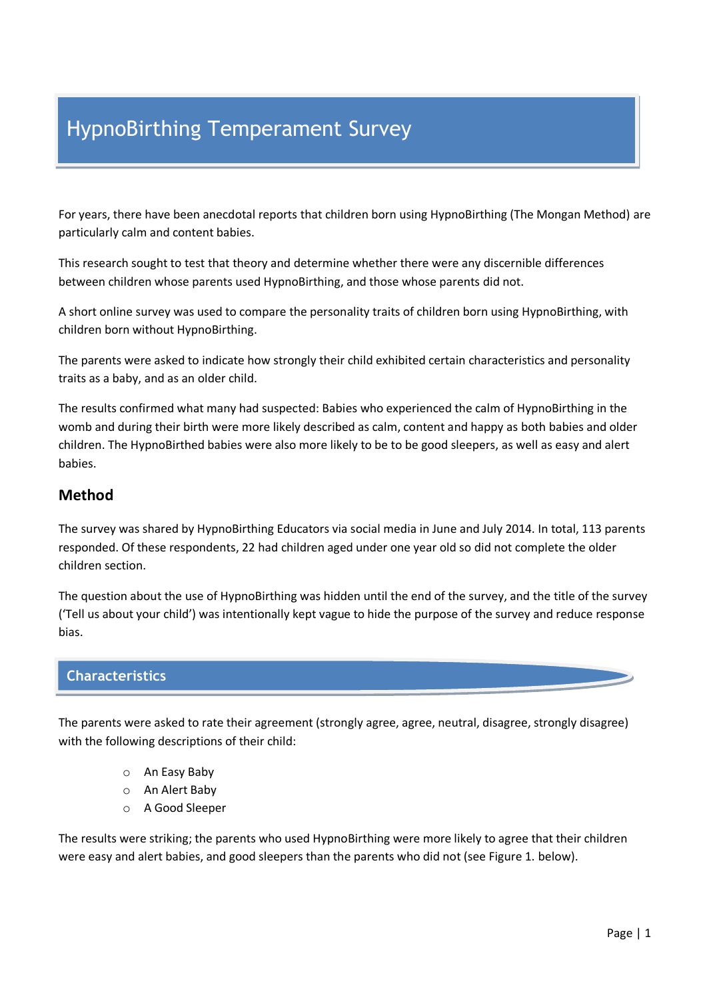# HypnoBirthing Temperament Survey

For years, there have been anecdotal reports that children born using HypnoBirthing (The Mongan Method) are particularly calm and content babies.

This research sought to test that theory and determine whether there were any discernible differences between children whose parents used HypnoBirthing, and those whose parents did not.

A short online survey was used to compare the personality traits of children born using HypnoBirthing, with children born without HypnoBirthing.

The parents were asked to indicate how strongly their child exhibited certain characteristics and personality traits as a baby, and as an older child.

The results confirmed what many had suspected: Babies who experienced the calm of HypnoBirthing in the womb and during their birth were more likely described as calm, content and happy as both babies and older children. The HypnoBirthed babies were also more likely to be to be good sleepers, as well as easy and alert babies.

### **Method**

The survey was shared by HypnoBirthing Educators via social media in June and July 2014. In total, 113 parents responded. Of these respondents, 22 had children aged under one year old so did not complete the older children section.

The question about the use of HypnoBirthing was hidden until the end of the survey, and the title of the survey ('Tell us about your child') was intentionally kept vague to hide the purpose of the survey and reduce response bias.

### **Characteristics**

The parents were asked to rate their agreement (strongly agree, agree, neutral, disagree, strongly disagree) with the following descriptions of their child:

- o An Easy Baby
- o An Alert Baby
- o A Good Sleeper

The results were striking; the parents who used HypnoBirthing were more likely to agree that their children were easy and alert babies, and good sleepers than the parents who did not (see Figure 1. below).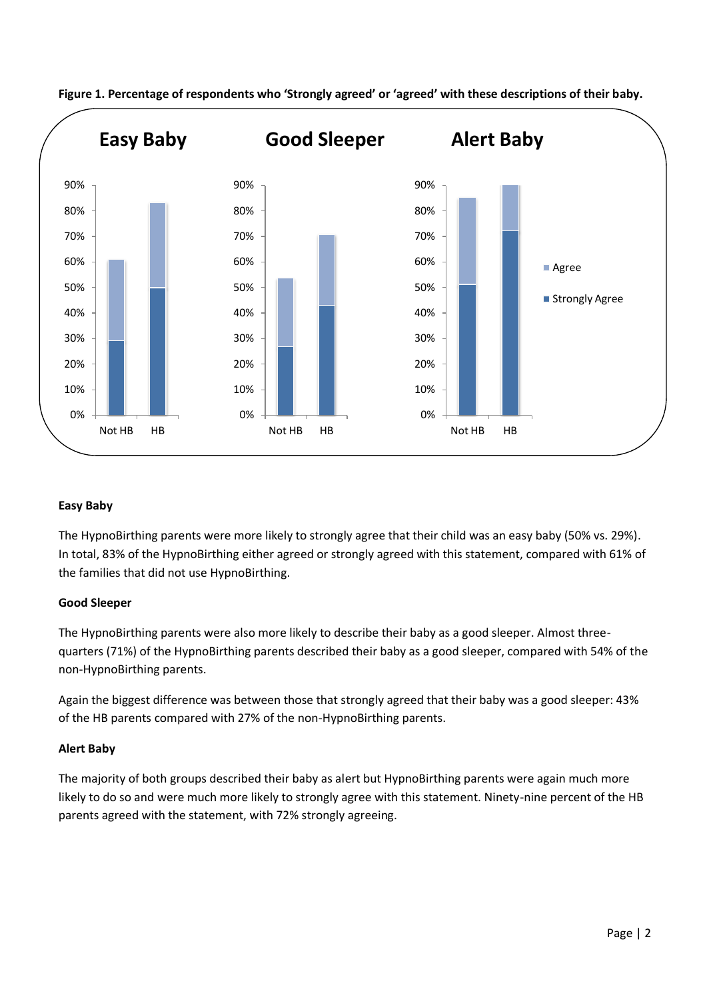

**Figure 1. Percentage of respondents who 'Strongly agreed' or 'agreed' with these descriptions of their baby.** 

### **Easy Baby**

The HypnoBirthing parents were more likely to strongly agree that their child was an easy baby (50% vs. 29%). In total, 83% of the HypnoBirthing either agreed or strongly agreed with this statement, compared with 61% of the families that did not use HypnoBirthing.

### **Good Sleeper**

The HypnoBirthing parents were also more likely to describe their baby as a good sleeper. Almost threequarters (71%) of the HypnoBirthing parents described their baby as a good sleeper, compared with 54% of the non-HypnoBirthing parents.

Again the biggest difference was between those that strongly agreed that their baby was a good sleeper: 43% of the HB parents compared with 27% of the non-HypnoBirthing parents.

### **Alert Baby**

The majority of both groups described their baby as alert but HypnoBirthing parents were again much more likely to do so and were much more likely to strongly agree with this statement. Ninety-nine percent of the HB parents agreed with the statement, with 72% strongly agreeing.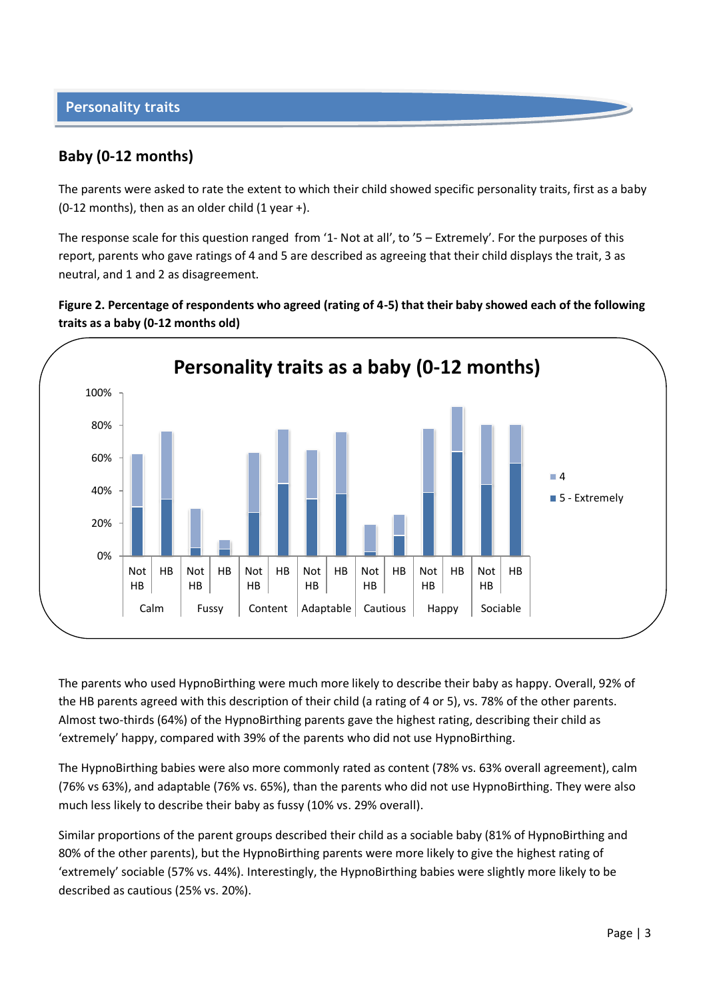## **Baby (0-12 months)**

The parents were asked to rate the extent to which their child showed specific personality traits, first as a baby (0-12 months), then as an older child  $(1$  year +).

The response scale for this question ranged from '1- Not at all', to '5 – Extremely'. For the purposes of this report, parents who gave ratings of 4 and 5 are described as agreeing that their child displays the trait, 3 as neutral, and 1 and 2 as disagreement.





The parents who used HypnoBirthing were much more likely to describe their baby as happy. Overall, 92% of the HB parents agreed with this description of their child (a rating of 4 or 5), vs. 78% of the other parents. Almost two-thirds (64%) of the HypnoBirthing parents gave the highest rating, describing their child as 'extremely' happy, compared with 39% of the parents who did not use HypnoBirthing.

The HypnoBirthing babies were also more commonly rated as content (78% vs. 63% overall agreement), calm (76% vs 63%), and adaptable (76% vs. 65%), than the parents who did not use HypnoBirthing. They were also much less likely to describe their baby as fussy (10% vs. 29% overall).

Similar proportions of the parent groups described their child as a sociable baby (81% of HypnoBirthing and 80% of the other parents), but the HypnoBirthing parents were more likely to give the highest rating of 'extremely' sociable (57% vs. 44%). Interestingly, the HypnoBirthing babies were slightly more likely to be described as cautious (25% vs. 20%).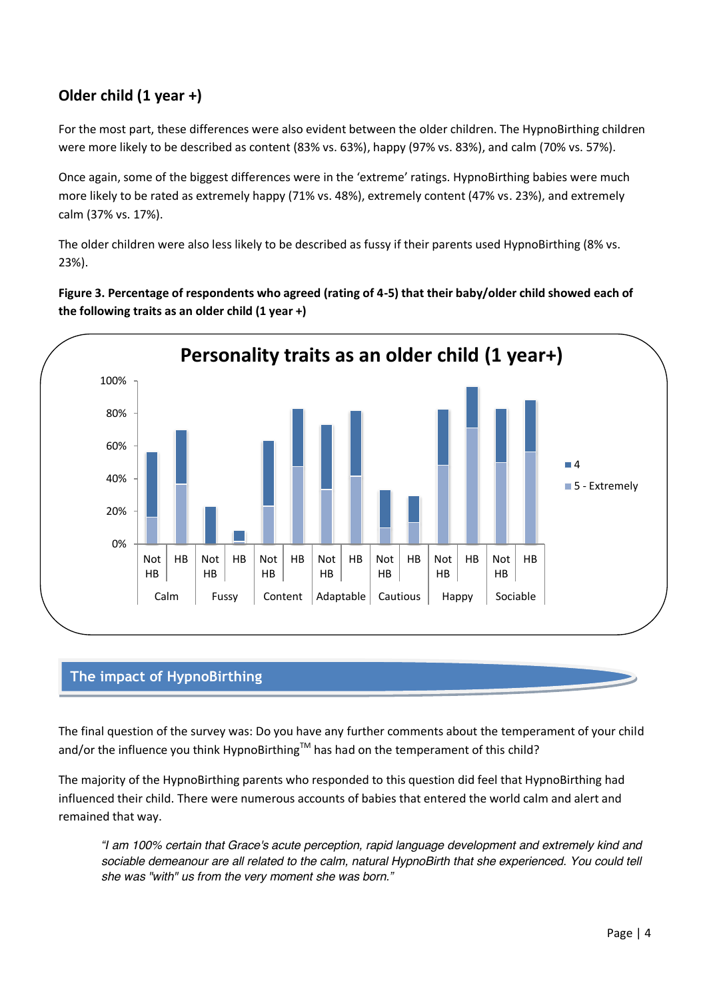# **Older child (1 year +)**

For the most part, these differences were also evident between the older children. The HypnoBirthing children were more likely to be described as content (83% vs. 63%), happy (97% vs. 83%), and calm (70% vs. 57%).

Once again, some of the biggest differences were in the 'extreme' ratings. HypnoBirthing babies were much more likely to be rated as extremely happy (71% vs. 48%), extremely content (47% vs. 23%), and extremely calm (37% vs. 17%).

The older children were also less likely to be described as fussy if their parents used HypnoBirthing (8% vs. 23%).

**Figure 3. Percentage of respondents who agreed (rating of 4-5) that their baby/older child showed each of the following traits as an older child (1 year +)**



## **The impact of HypnoBirthing**

The final question of the survey was: Do you have any further comments about the temperament of your child and/or the influence you think HypnoBirthing<sup>TM</sup> has had on the temperament of this child?

The majority of the HypnoBirthing parents who responded to this question did feel that HypnoBirthing had influenced their child. There were numerous accounts of babies that entered the world calm and alert and remained that way.

*"I am 100% certain that Grace's acute perception, rapid language development and extremely kind and*  sociable demeanour are all related to the calm, natural HypnoBirth that she experienced. You could tell *she was "with" us from the very moment she was born."*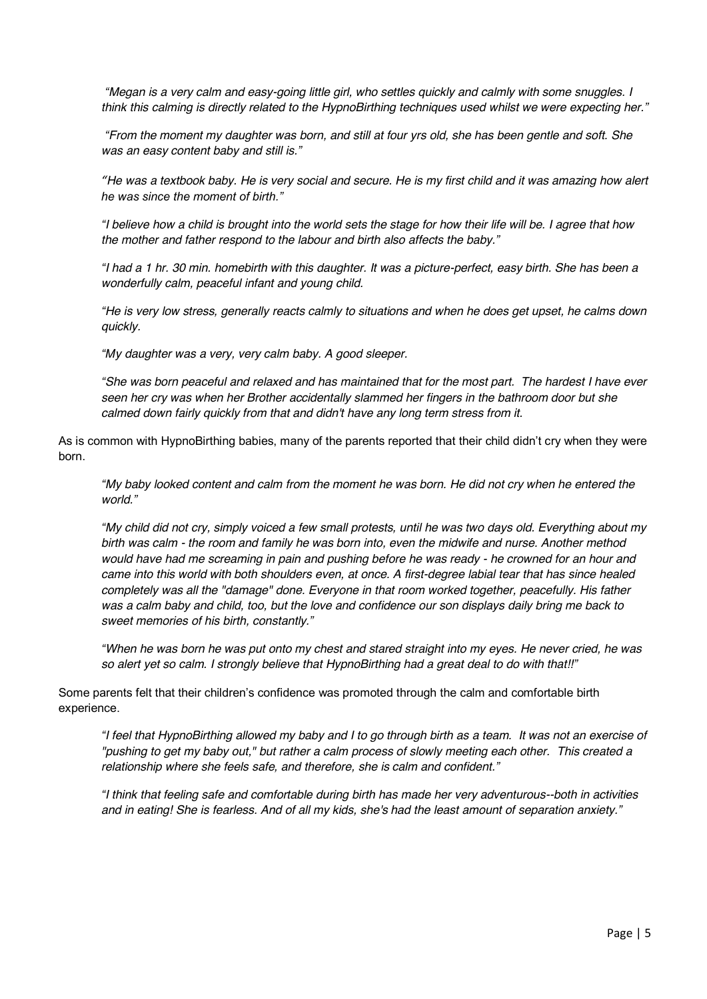*"Megan is a very calm and easy-going little girl, who settles quickly and calmly with some snuggles. I think this calming is directly related to the HypnoBirthing techniques used whilst we were expecting her."*

*"From the moment my daughter was born, and still at four yrs old, she has been gentle and soft. She was an easy content baby and still is."*

*"He was a textbook baby. He is very social and secure. He is my first child and it was amazing how alert he was since the moment of birth."*

*"I believe how a child is brought into the world sets the stage for how their life will be. I agree that how the mother and father respond to the labour and birth also affects the baby."*

*"I had a 1 hr. 30 min. homebirth with this daughter. It was a picture-perfect, easy birth. She has been a wonderfully calm, peaceful infant and young child.*

*"He is very low stress, generally reacts calmly to situations and when he does get upset, he calms down quickly.*

*"My daughter was a very, very calm baby. A good sleeper.*

*"She was born peaceful and relaxed and has maintained that for the most part. The hardest I have ever seen her cry was when her Brother accidentally slammed her fingers in the bathroom door but she calmed down fairly quickly from that and didn't have any long term stress from it.*

As is common with HypnoBirthing babies, many of the parents reported that their child didn't cry when they were born.

*"My baby looked content and calm from the moment he was born. He did not cry when he entered the world."*

*"My child did not cry, simply voiced a few small protests, until he was two days old. Everything about my birth was calm - the room and family he was born into, even the midwife and nurse. Another method would have had me screaming in pain and pushing before he was ready - he crowned for an hour and came into this world with both shoulders even, at once. A first-degree labial tear that has since healed completely was all the "damage" done. Everyone in that room worked together, peacefully. His father was a calm baby and child, too, but the love and confidence our son displays daily bring me back to sweet memories of his birth, constantly."*

*"When he was born he was put onto my chest and stared straight into my eyes. He never cried, he was so alert yet so calm. I strongly believe that HypnoBirthing had a great deal to do with that!!"*

Some parents felt that their children's confidence was promoted through the calm and comfortable birth experience.

*"I feel that HypnoBirthing allowed my baby and I to go through birth as a team. It was not an exercise of "pushing to get my baby out," but rather a calm process of slowly meeting each other. This created a relationship where she feels safe, and therefore, she is calm and confident."*

*"I think that feeling safe and comfortable during birth has made her very adventurous--both in activities and in eating! She is fearless. And of all my kids, she's had the least amount of separation anxiety."*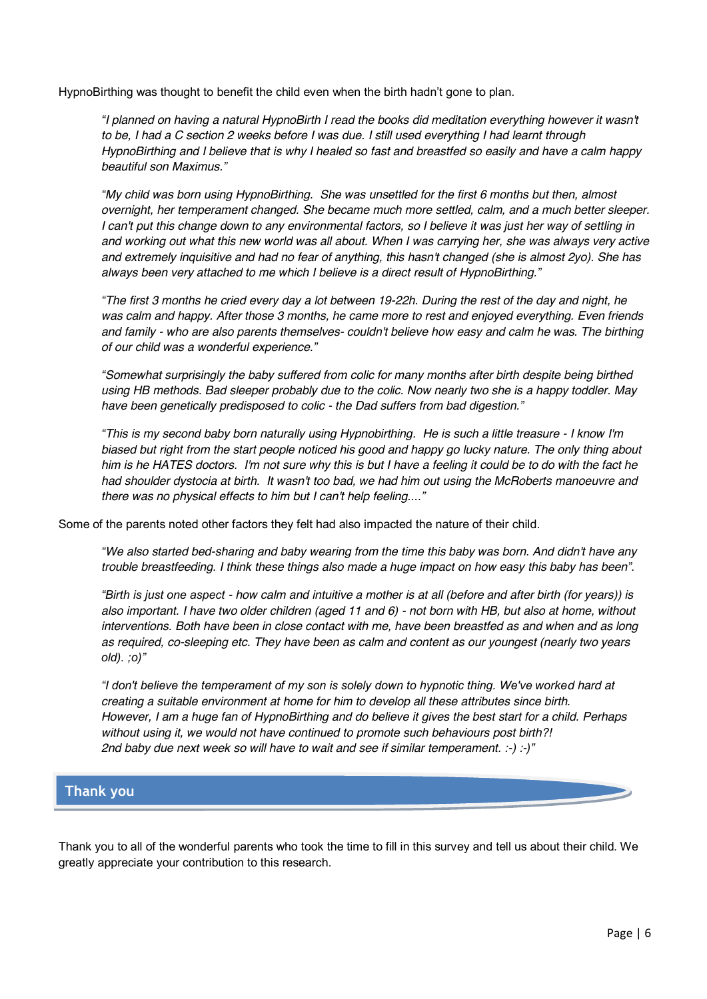HypnoBirthing was thought to benefit the child even when the birth hadn't gone to plan.

*"I planned on having a natural HypnoBirth I read the books did meditation everything however it wasn't to be, I had a C section 2 weeks before I was due. I still used everything I had learnt through HypnoBirthing and I believe that is why I healed so fast and breastfed so easily and have a calm happy beautiful son Maximus."*

*"My child was born using HypnoBirthing. She was unsettled for the first 6 months but then, almost overnight, her temperament changed. She became much more settled, calm, and a much better sleeper. I can't put this change down to any environmental factors, so I believe it was just her way of settling in and working out what this new world was all about. When I was carrying her, she was always very active and extremely inquisitive and had no fear of anything, this hasn't changed (she is almost 2yo). She has always been very attached to me which I believe is a direct result of HypnoBirthing."*

*"The first 3 months he cried every day a lot between 19-22h. During the rest of the day and night, he was calm and happy. After those 3 months, he came more to rest and enjoyed everything. Even friends and family - who are also parents themselves- couldn't believe how easy and calm he was. The birthing of our child was a wonderful experience."*

*"Somewhat surprisingly the baby suffered from colic for many months after birth despite being birthed using HB methods. Bad sleeper probably due to the colic. Now nearly two she is a happy toddler. May have been genetically predisposed to colic - the Dad suffers from bad digestion."*

*"This is my second baby born naturally using Hypnobirthing. He is such a little treasure - I know I'm biased but right from the start people noticed his good and happy go lucky nature. The only thing about him is he HATES doctors. I'm not sure why this is but I have a feeling it could be to do with the fact he had shoulder dystocia at birth. It wasn't too bad, we had him out using the McRoberts manoeuvre and there was no physical effects to him but I can't help feeling...."*

Some of the parents noted other factors they felt had also impacted the nature of their child.

*"We also started bed-sharing and baby wearing from the time this baby was born. And didn't have any trouble breastfeeding. I think these things also made a huge impact on how easy this baby has been".*

*"Birth is just one aspect - how calm and intuitive a mother is at all (before and after birth (for years)) is also important. I have two older children (aged 11 and 6) - not born with HB, but also at home, without interventions. Both have been in close contact with me, have been breastfed as and when and as long as required, co-sleeping etc. They have been as calm and content as our youngest (nearly two years old). ;o)"*

*"I don't believe the temperament of my son is solely down to hypnotic thing. We've worked hard at creating a suitable environment at home for him to develop all these attributes since birth. However, I am a huge fan of HypnoBirthing and do believe it gives the best start for a child. Perhaps without using it, we would not have continued to promote such behaviours post birth?! 2nd baby due next week so will have to wait and see if similar temperament. :-) :-)"*

### **Thank you**

Thank you to all of the wonderful parents who took the time to fill in this survey and tell us about their child. We greatly appreciate your contribution to this research.